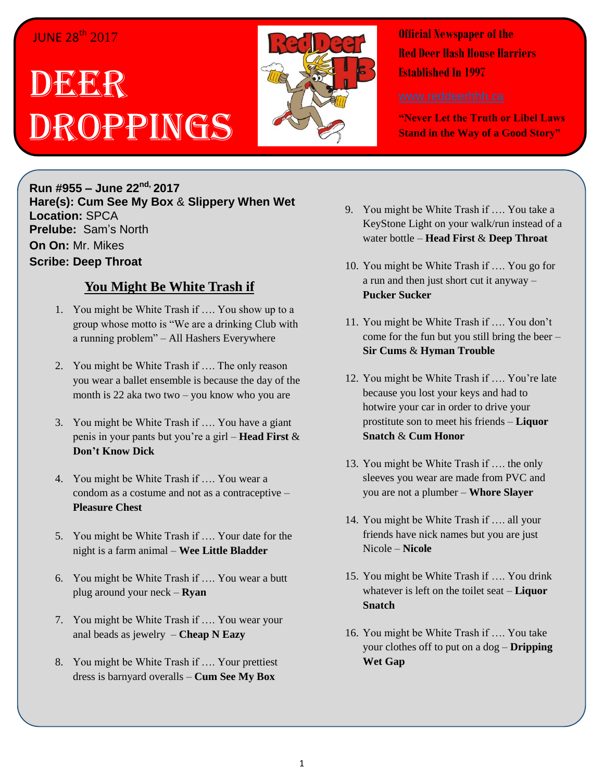## **JUNE 28<sup>th</sup> 2017**

# DEER Droppings



**Official Newspaper of the Red Deer Hash House Harriers Established In 1997** 

**"Never Let the Truth or Libel Laws Stand in the Way of a Good Story"**

**Run #955 – June 22 nd, 2017 Hare(s): Cum See My Box** & **Slippery When Wet Location:** SPCA **Prelube:** Sam's North **On On:** Mr. Mikes **Scribe: Deep Throat**

### **You Might Be White Trash if**

- 1. You might be White Trash if …. You show up to a group whose motto is "We are a drinking Club with a running problem" – All Hashers Everywhere
- 2. You might be White Trash if …. The only reason you wear a ballet ensemble is because the day of the month is 22 aka two two – you know who you are
- 3. You might be White Trash if …. You have a giant penis in your pants but you're a girl – **Head First** & **Don't Know Dick**
- 4. You might be White Trash if …. You wear a condom as a costume and not as a contraceptive – **Pleasure Chest**
- 5. You might be White Trash if …. Your date for the night is a farm animal – **Wee Little Bladder**
- 6. You might be White Trash if …. You wear a butt plug around your neck – **Ryan**
- 7. You might be White Trash if …. You wear your anal beads as jewelry – **Cheap N Eazy**
- 8. You might be White Trash if …. Your prettiest dress is barnyard overalls – **Cum See My Box**
- 9. You might be White Trash if …. You take a KeyStone Light on your walk/run instead of a water bottle – **Head First** & **Deep Throat**
- 10. You might be White Trash if …. You go for a run and then just short cut it anyway – **Pucker Sucker**
- 11. You might be White Trash if …. You don't come for the fun but you still bring the beer – **Sir Cums** & **Hyman Trouble**
- 12. You might be White Trash if …. You're late because you lost your keys and had to hotwire your car in order to drive your prostitute son to meet his friends – **Liquor Snatch** & **Cum Honor**
- 13. You might be White Trash if …. the only sleeves you wear are made from PVC and you are not a plumber – **Whore Slayer**
- 14. You might be White Trash if …. all your friends have nick names but you are just Nicole – **Nicole**
- 15. You might be White Trash if …. You drink whatever is left on the toilet seat – **Liquor Snatch**
- 16. You might be White Trash if …. You take your clothes off to put on a dog – **Dripping Wet Gap**